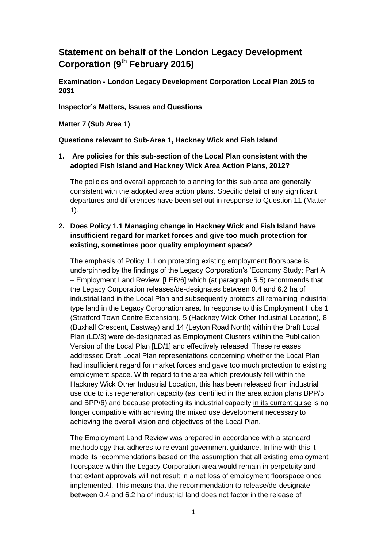# **Statement on behalf of the London Legacy Development Corporation (9th February 2015)**

**Examination - London Legacy Development Corporation Local Plan 2015 to 2031**

**Inspector's Matters, Issues and Questions** 

**Matter 7 (Sub Area 1)**

#### **Questions relevant to Sub-Area 1, Hackney Wick and Fish Island**

#### **1. Are policies for this sub-section of the Local Plan consistent with the adopted Fish Island and Hackney Wick Area Action Plans, 2012?**

The policies and overall approach to planning for this sub area are generally consistent with the adopted area action plans. Specific detail of any significant departures and differences have been set out in response to Question 11 (Matter 1).

#### **2. Does Policy 1.1 Managing change in Hackney Wick and Fish Island have insufficient regard for market forces and give too much protection for existing, sometimes poor quality employment space?**

The emphasis of Policy 1.1 on protecting existing employment floorspace is underpinned by the findings of the Legacy Corporation's 'Economy Study: Part A – Employment Land Review' [LEB/6] which (at paragraph 5.5) recommends that the Legacy Corporation releases/de-designates between 0.4 and 6.2 ha of industrial land in the Local Plan and subsequently protects all remaining industrial type land in the Legacy Corporation area. In response to this Employment Hubs 1 (Stratford Town Centre Extension), 5 (Hackney Wick Other Industrial Location), 8 (Buxhall Crescent, Eastway) and 14 (Leyton Road North) within the Draft Local Plan (LD/3) were de-designated as Employment Clusters within the Publication Version of the Local Plan [LD/1] and effectively released. These releases addressed Draft Local Plan representations concerning whether the Local Plan had insufficient regard for market forces and gave too much protection to existing employment space. With regard to the area which previously fell within the Hackney Wick Other Industrial Location, this has been released from industrial use due to its regeneration capacity (as identified in the area action plans BPP/5 and BPP/6) and because protecting its industrial capacity in its current guise is no longer compatible with achieving the mixed use development necessary to achieving the overall vision and objectives of the Local Plan.

The Employment Land Review was prepared in accordance with a standard methodology that adheres to relevant government guidance. In line with this it made its recommendations based on the assumption that all existing employment floorspace within the Legacy Corporation area would remain in perpetuity and that extant approvals will not result in a net loss of employment floorspace once implemented. This means that the recommendation to release/de-designate between 0.4 and 6.2 ha of industrial land does not factor in the release of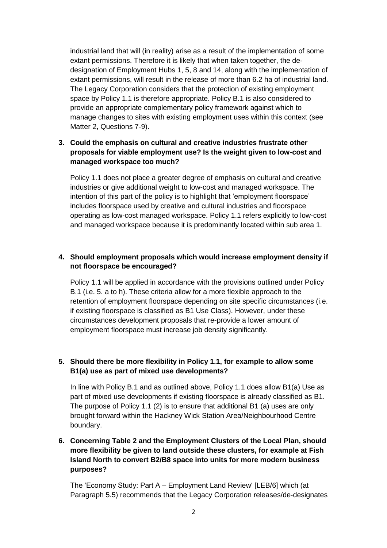industrial land that will (in reality) arise as a result of the implementation of some extant permissions. Therefore it is likely that when taken together, the dedesignation of Employment Hubs 1, 5, 8 and 14, along with the implementation of extant permissions, will result in the release of more than 6.2 ha of industrial land. The Legacy Corporation considers that the protection of existing employment space by Policy 1.1 is therefore appropriate. Policy B.1 is also considered to provide an appropriate complementary policy framework against which to manage changes to sites with existing employment uses within this context (see Matter 2, Questions 7-9).

# **3. Could the emphasis on cultural and creative industries frustrate other proposals for viable employment use? Is the weight given to low-cost and managed workspace too much?**

Policy 1.1 does not place a greater degree of emphasis on cultural and creative industries or give additional weight to low-cost and managed workspace. The intention of this part of the policy is to highlight that 'employment floorspace' includes floorspace used by creative and cultural industries and floorspace operating as low-cost managed workspace. Policy 1.1 refers explicitly to low-cost and managed workspace because it is predominantly located within sub area 1.

# **4. Should employment proposals which would increase employment density if not floorspace be encouraged?**

Policy 1.1 will be applied in accordance with the provisions outlined under Policy B.1 (i.e. 5. a to h). These criteria allow for a more flexible approach to the retention of employment floorspace depending on site specific circumstances (i.e. if existing floorspace is classified as B1 Use Class). However, under these circumstances development proposals that re-provide a lower amount of employment floorspace must increase job density significantly.

#### **5. Should there be more flexibility in Policy 1.1, for example to allow some B1(a) use as part of mixed use developments?**

In line with Policy B.1 and as outlined above, Policy 1.1 does allow B1(a) Use as part of mixed use developments if existing floorspace is already classified as B1. The purpose of Policy 1.1 (2) is to ensure that additional B1 (a) uses are only brought forward within the Hackney Wick Station Area/Neighbourhood Centre boundary.

# **6. Concerning Table 2 and the Employment Clusters of the Local Plan, should more flexibility be given to land outside these clusters, for example at Fish Island North to convert B2/B8 space into units for more modern business purposes?**

The 'Economy Study: Part A – Employment Land Review' [LEB/6] which (at Paragraph 5.5) recommends that the Legacy Corporation releases/de-designates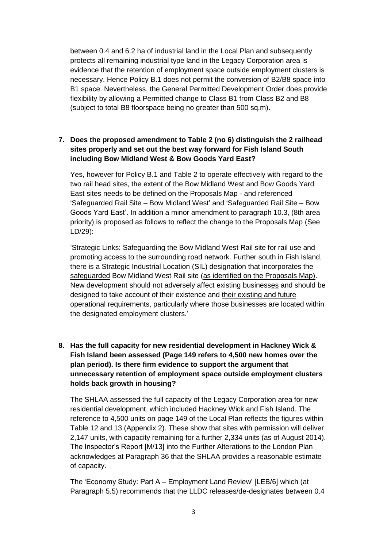between 0.4 and 6.2 ha of industrial land in the Local Plan and subsequently protects all remaining industrial type land in the Legacy Corporation area is evidence that the retention of employment space outside employment clusters is necessary. Hence Policy B.1 does not permit the conversion of B2/B8 space into B1 space. Nevertheless, the General Permitted Development Order does provide flexibility by allowing a Permitted change to Class B1 from Class B2 and B8 (subject to total B8 floorspace being no greater than 500 sq.m).

#### **7. Does the proposed amendment to Table 2 (no 6) distinguish the 2 railhead sites properly and set out the best way forward for Fish Island South including Bow Midland West & Bow Goods Yard East?**

Yes, however for Policy B.1 and Table 2 to operate effectively with regard to the two rail head sites, the extent of the Bow Midland West and Bow Goods Yard East sites needs to be defined on the Proposals Map - and referenced 'Safeguarded Rail Site – Bow Midland West' and 'Safeguarded Rail Site – Bow Goods Yard East'. In addition a minor amendment to paragraph 10.3, (8th area priority) is proposed as follows to reflect the change to the Proposals Map (See LD/29):

'Strategic Links: Safeguarding the Bow Midland West Rail site for rail use and promoting access to the surrounding road network. Further south in Fish Island, there is a Strategic Industrial Location (SIL) designation that incorporates the safeguarded Bow Midland West Rail site (as identified on the Proposals Map). New development should not adversely affect existing businesses and should be designed to take account of their existence and their existing and future operational requirements, particularly where those businesses are located within the designated employment clusters.'

# **8. Has the full capacity for new residential development in Hackney Wick & Fish Island been assessed (Page 149 refers to 4,500 new homes over the plan period). Is there firm evidence to support the argument that unnecessary retention of employment space outside employment clusters holds back growth in housing?**

The SHLAA assessed the full capacity of the Legacy Corporation area for new residential development, which included Hackney Wick and Fish Island. The reference to 4,500 units on page 149 of the Local Plan reflects the figures within Table 12 and 13 (Appendix 2). These show that sites with permission will deliver 2,147 units, with capacity remaining for a further 2,334 units (as of August 2014). The Inspector's Report [M/13] into the Further Alterations to the London Plan acknowledges at Paragraph 36 that the SHLAA provides a reasonable estimate of capacity.

The 'Economy Study: Part A – Employment Land Review' [LEB/6] which (at Paragraph 5.5) recommends that the LLDC releases/de-designates between 0.4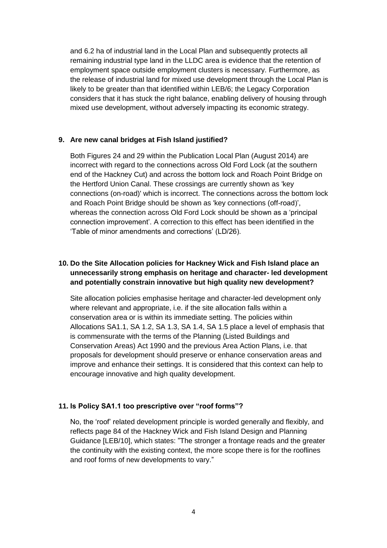and 6.2 ha of industrial land in the Local Plan and subsequently protects all remaining industrial type land in the LLDC area is evidence that the retention of employment space outside employment clusters is necessary. Furthermore, as the release of industrial land for mixed use development through the Local Plan is likely to be greater than that identified within LEB/6; the Legacy Corporation considers that it has stuck the right balance, enabling delivery of housing through mixed use development, without adversely impacting its economic strategy.

#### **9. Are new canal bridges at Fish Island justified?**

Both Figures 24 and 29 within the Publication Local Plan (August 2014) are incorrect with regard to the connections across Old Ford Lock (at the southern end of the Hackney Cut) and across the bottom lock and Roach Point Bridge on the Hertford Union Canal. These crossings are currently shown as 'key connections (on-road)' which is incorrect. The connections across the bottom lock and Roach Point Bridge should be shown as 'key connections (off-road)', whereas the connection across Old Ford Lock should be shown as a 'principal connection improvement'. A correction to this effect has been identified in the 'Table of minor amendments and corrections' (LD/26).

# **10. Do the Site Allocation policies for Hackney Wick and Fish Island place an unnecessarily strong emphasis on heritage and character- led development and potentially constrain innovative but high quality new development?**

Site allocation policies emphasise heritage and character-led development only where relevant and appropriate, i.e. if the site allocation falls within a conservation area or is within its immediate setting. The policies within Allocations SA1.1, SA 1.2, SA 1.3, SA 1.4, SA 1.5 place a level of emphasis that is commensurate with the terms of the Planning (Listed Buildings and Conservation Areas) Act 1990 and the previous Area Action Plans, i.e. that proposals for development should preserve or enhance conservation areas and improve and enhance their settings. It is considered that this context can help to encourage innovative and high quality development.

#### **11. Is Policy SA1.1 too prescriptive over "roof forms"?**

No, the 'roof' related development principle is worded generally and flexibly, and reflects page 84 of the Hackney Wick and Fish Island Design and Planning Guidance [LEB/10], which states: "The stronger a frontage reads and the greater the continuity with the existing context, the more scope there is for the rooflines and roof forms of new developments to vary."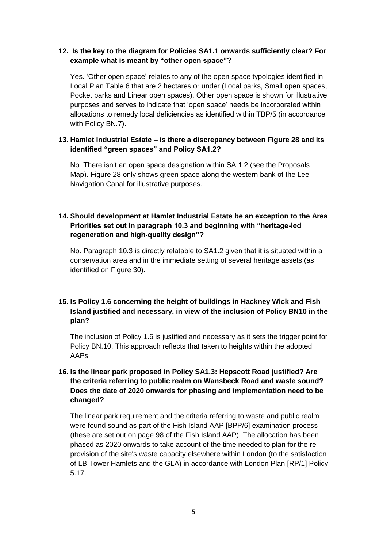#### **12. Is the key to the diagram for Policies SA1.1 onwards sufficiently clear? For example what is meant by "other open space"?**

Yes. 'Other open space' relates to any of the open space typologies identified in Local Plan Table 6 that are 2 hectares or under (Local parks, Small open spaces, Pocket parks and Linear open spaces). Other open space is shown for illustrative purposes and serves to indicate that 'open space' needs be incorporated within allocations to remedy local deficiencies as identified within TBP/5 (in accordance with Policy BN.7).

#### **13. Hamlet Industrial Estate – is there a discrepancy between Figure 28 and its identified "green spaces" and Policy SA1.2?**

No. There isn't an open space designation within SA 1.2 (see the Proposals Map). Figure 28 only shows green space along the western bank of the Lee Navigation Canal for illustrative purposes.

#### **14. Should development at Hamlet Industrial Estate be an exception to the Area Priorities set out in paragraph 10.3 and beginning with "heritage-led regeneration and high-quality design"?**

No. Paragraph 10.3 is directly relatable to SA1.2 given that it is situated within a conservation area and in the immediate setting of several heritage assets (as identified on Figure 30).

#### **15. Is Policy 1.6 concerning the height of buildings in Hackney Wick and Fish Island justified and necessary, in view of the inclusion of Policy BN10 in the plan?**

The inclusion of Policy 1.6 is justified and necessary as it sets the trigger point for Policy BN.10. This approach reflects that taken to heights within the adopted AAPs.

# **16. Is the linear park proposed in Policy SA1.3: Hepscott Road justified? Are the criteria referring to public realm on Wansbeck Road and waste sound? Does the date of 2020 onwards for phasing and implementation need to be changed?**

The linear park requirement and the criteria referring to waste and public realm were found sound as part of the Fish Island AAP [BPP/6] examination process (these are set out on page 98 of the Fish Island AAP). The allocation has been phased as 2020 onwards to take account of the time needed to plan for the reprovision of the site's waste capacity elsewhere within London (to the satisfaction of LB Tower Hamlets and the GLA) in accordance with London Plan [RP/1] Policy 5.17.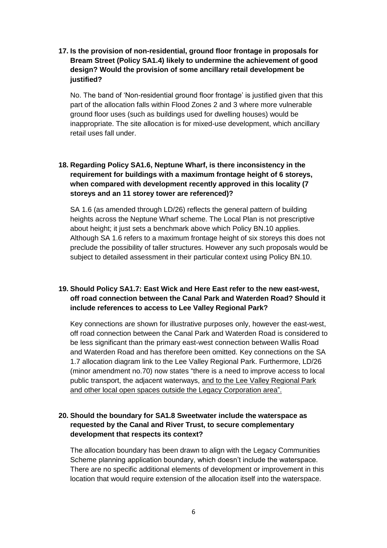# **17. Is the provision of non-residential, ground floor frontage in proposals for Bream Street (Policy SA1.4) likely to undermine the achievement of good design? Would the provision of some ancillary retail development be justified?**

No. The band of 'Non-residential ground floor frontage' is justified given that this part of the allocation falls within Flood Zones 2 and 3 where more vulnerable ground floor uses (such as buildings used for dwelling houses) would be inappropriate. The site allocation is for mixed-use development, which ancillary retail uses fall under.

# **18. Regarding Policy SA1.6, Neptune Wharf, is there inconsistency in the requirement for buildings with a maximum frontage height of 6 storeys, when compared with development recently approved in this locality (7 storeys and an 11 storey tower are referenced)?**

SA 1.6 (as amended through LD/26) reflects the general pattern of building heights across the Neptune Wharf scheme. The Local Plan is not prescriptive about height; it just sets a benchmark above which Policy BN.10 applies. Although SA 1.6 refers to a maximum frontage height of six storeys this does not preclude the possibility of taller structures. However any such proposals would be subject to detailed assessment in their particular context using Policy BN.10.

#### **19. Should Policy SA1.7: East Wick and Here East refer to the new east-west, off road connection between the Canal Park and Waterden Road? Should it include references to access to Lee Valley Regional Park?**

Key connections are shown for illustrative purposes only, however the east-west, off road connection between the Canal Park and Waterden Road is considered to be less significant than the primary east-west connection between Wallis Road and Waterden Road and has therefore been omitted. Key connections on the SA 1.7 allocation diagram link to the Lee Valley Regional Park. Furthermore, LD/26 (minor amendment no.70) now states "there is a need to improve access to local public transport, the adjacent waterways, and to the Lee Valley Regional Park and other local open spaces outside the Legacy Corporation area".

#### **20. Should the boundary for SA1.8 Sweetwater include the waterspace as requested by the Canal and River Trust, to secure complementary development that respects its context?**

The allocation boundary has been drawn to align with the Legacy Communities Scheme planning application boundary, which doesn't include the waterspace. There are no specific additional elements of development or improvement in this location that would require extension of the allocation itself into the waterspace.